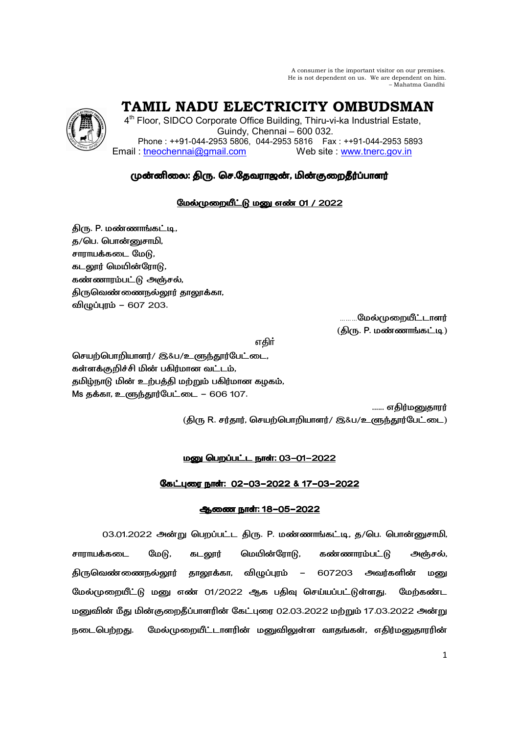A consumer is the important visitor on our premises. He is not dependent on us. We are dependent on him. – Mahatma Gandhi

TAMIL NADU ELECTRICITY OMBUDSMAN

4<sup>th</sup> Floor, SIDCO Corporate Office Building, Thiru-vi-ka Industrial Estate, Guindy, Chennai - 600 032. Phone: ++91-044-2953 5806, 044-2953 5816 Fax: ++91-044-2953 5893 Email: tneochennai@gmail.com Web site www.tnerc.gov.in

# முன்னிலை: திரு. செ.தேவராஜன், மின்குறைதீர்ப்பாளர்

## <u>மேல்முறையீட்டு மனு எண் 01 / 2022</u>

திரு. P. மண்ணாங்கட்டி, த/பெ. பொன்னுசாமி, சாராயக்கடை மேடு, கடலூர் மெயின்ரோடு, கண்ணாரம்பட்டு அஞ்சல், திருவெண்ணைநல்லூர் தாலூக்கா, விமுப்புரம் – 607 203.

**.........மேல்முறையீட்டாளர்** (திரு. P. மண்ணாங்கட்டி)

எகிர்

செயற்பொறியாளர்/ இ&ப/உளுந்தூர்பேட்டை, கள்ளக்குறிச்சி மின் பகிர்மான வட்டம், தமிழ்நாடு மின் உற்பத்தி மற்றும் பகிர்மான கழகம், Ms தக்கா, உளுந்தூர்பேட்டை – 606 107.

...... எகிர்மணகாார்

(திரு R. சர்தார், செயற்பொறியாளர்/ இ&ப/உளுந்தூர்பேட்டை)

## மனு பெறப்பட்ட நாள்: 03-01-2022

## <u>கேட்புரை நாள்: 02-03-2022 & 17-03-2022</u>

## <u>ஆணை நாள்: 18-05-2022</u>

03.01.2022 அன்று பெறப்பட்ட திரு. P. மண்ணாங்கட்டி, த/பெ. பொன்னுசாமி, மேடு, மெயின்ரோடு, சாராயக்கடை கடலூர் கண்ணாரம்பட்டு அஞ்சல், திருவெண்ணைநல்லூ**ர்** தாலூக்கா, விழுப்புரம் அவர்களின் 607203  $\sim$   $-$ மனு மேல்முறையீட்டு மனு எண் 01/2022 ஆக பதிவு செய்யப்பட்டுள்ளது. மேற்கண்ட மனுவின் மீது மின்குறைதீப்பாளரின் கேட்புரை 02.03.2022 மற்றும் 17.03.2022 அன்று மேல்முறையீட்டாளரின் மனுவிலுள்ள வாதங்கள், எதிர்மனுதாரரின் நடைபெற்றது.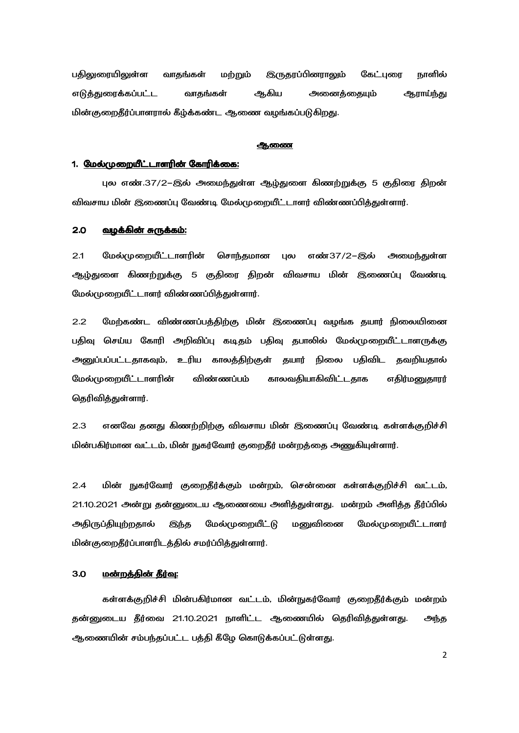பதிலுரையிலுள்ள வாதங்கள் மற்றும் **இருதரப்பினராலும்** கேட்புரை நாளில் எடுத்துரைக்கப்பட்ட வாதங்கள் ஆகிய அனைத்தையும் ஆராய்ந்து மின்குறைதீர்ப்பாளரால் கீழ்க்கண்ட ஆணை வழங்கப்படுகிறது.

### ஆணை

### 1. மேல்முறையீட்டாளரின் கோரிக்கை:

புல எண்.37/2–இல் அமைந்துள்ள ஆழ்துளை கிணற்றுக்கு 5 குதிரை திறன் விவசாய மின் இணைப்பு வேண்டி மேல்முறையீட்டாளர் விண்ணப்பித்துள்ளார்.

#### $2.0$ வழக்கின் சுருக்கம்:

 $2.1$ மேல்முறையீட்டாளரின் சொந்தமான புல எண்37/2-இல் அமைந்துள்ள ஆழ்துளை கிணற்றுக்கு 5 குதிரை திறன் விவசாய மின் இணைப்பு வேண்டி மேல்முறையீட்டாளர் விண்ணப்பித்துள்ளார்.

 $2.2$ மேற்கண்ட விண்ணப்பத்திற்கு மின் இணைப்பு வழங்க தயார் நிலையினை பதிவு செய்ய கோரி அறிவிப்பு கடிதம் பதிவு தபாலில் மேல்முறையீட்டாளருக்கு அனுப்பப்பட்டதாகவும், உரிய காலத்திற்குள் தயார் நிலை பதிவிட தவறியதால் மேல்முறையீட்டாளரின் விண்ணப்பம் காலவகியாகிவிட்டகாக எதிர்மனுதாரர் தெரிவித்துள்ளார்.

எனவே தனது கிணற்றிற்கு விவசாய மின் இணைப்பு வேண்டி கள்ளக்குறிச்சி  $2.3$ மின்பகிர்மான வட்டம், மின் நுகர்வோர் குறைதீர் மன்றத்தை அணுகியுள்ளார்.

 $2.4$ மின் நுகர்வோர் குறைதீர்க்கும் மன்றம், சென்னை கள்ளக்குறிச்சி வட்டம், 21.10.2021 அன்று தன்னுடைய ஆணையை அளித்துள்ளது. மன்றம் அளித்த தீர்ப்பில் அதிருப்தியுற்றதால் இந்த மேல்முறையீட்டு மனுவினை மேல்முறையீட்டாளர் மின்குறைதீர்ப்பாளரிடத்தில் சமர்ப்பித்துள்ளார்.

#### $3.0$ <u>மன்றத்தின் தீர்வு:</u>

கள்ளக்குறிச்சி மின்பகிர்மான வட்டம், மின்நுகர்வோர் குறைதீர்க்கும் மன்றம் தன்னுடைய தீர்வை 21.10.2021 நாளிட்ட ஆணையில் தெரிவித்துள்ளது. அந்த ஆணையின் சம்பந்தப்பட்ட பத்தி கீழே கொடுக்கப்பட்டுள்ளது.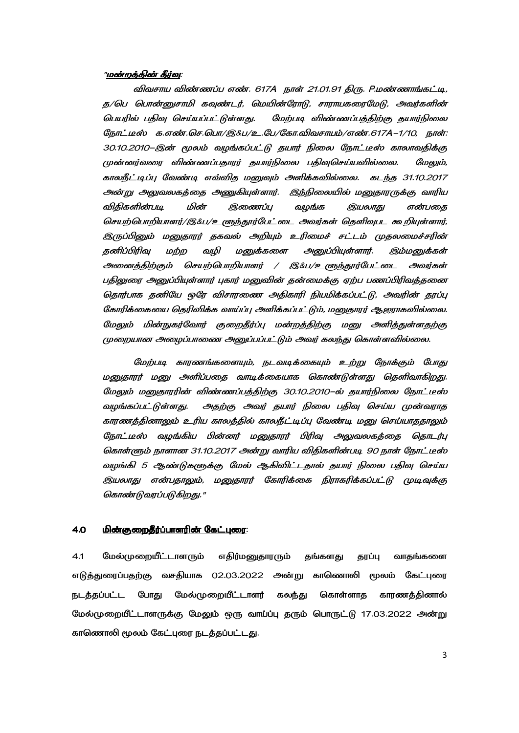### "<u>மன்றத்தின் தீர்வு</u>:

விவசாய விண்ணப்ப எண். 617A நாள் 21.01.91 திரு. P.மண்ணாங்கட்டி, த/பெ பொன்னுசாமி கவுண்டர், மெயின்ரோடு, சாராயகரைமேடு, அவர்களின் பெயரில் பதிவு செய்யப்பட்டுள்ளது. மேற்படி விண்ணப்பத்திற்கு தயார்நிலை நோட்டீஸ் க.எண்.செ.பொ/இ&ப/உ.பே/கோ.விவசாயம்/எண்.617A-1/10, நாள்: 30.10.2010–இன் மூலம் வழங்கப்பட்டு தயார் நிலை நோட்டீஸ் காலாவதிக்கு முன்னர்வரை விண்ணப்பதாரர் தயார்நிலை பதிவுசெய்யவில்லை. மேலும், காலநீட்டிப்பு வேண்டி எவ்வித மனுவும் அளிக்கவில்லை. கடந்த 31.10.2017 அன்று அலுவலகத்தை அணுகியுள்ளார். இந்நிலையில் மனுதாரருக்கு வாரிய விகிகளின்படி மின் இணைப்ப வமங்க இயலாகு என்பகை செயற்பொறியாளர்/இ&ப/உளுந்தூர்பேட்டை அவர்கள் தெளிவுபட கூறியுள்ளார், இருப்பினும் மனுதாரர் தகவல் அறியும் உரிமைச் சட்டம் முதலமைச்சரின் தனிப்பிரிவு மற்ற வழி மனுக்களை அனுப்பியுள்ளார். இம்மனுக்கள் அனைத்திற்கும் செயற்பொறியாளர் / இ&ப/உளுந்தூர்பேட்டை அவர்கள் பதிலுரை அனுப்பியுள்ளார் புகார் மனுவின் தன்மைக்கு ஏற்ப பணப்பிரிவத்தனை தொர்பாக தனியே ஒரே விசாரணை அதிகாரி நியமிக்கப்பட்டு, அவரின் தரப்பு கோரிக்கையை தெரிவிக்க வாய்ப்பு அளிக்கப்பட்டும், மனுதாரர் ஆஜராகவில்லை. மேலும் மின்நுகர்வோர் குறைதீர்ப்பு மன்றத்திற்கு மனு அளித்துள்ளதற்கு முறையான அமைப்பாணை அமைப்பப்பட்டும் அவர் கலந்து கொள்ளவில்லை.

மேற்படி காரணங்களையும், நடவடிக்கையும் உற்று நோக்கும் போது மனுதாரர் மனு அளிப்பதை வாடிக்கையாக கொண்டுள்ளது தெளிவாகிறது. மேலும் மனுதாரரின் விண்ணப்பத்திற்கு 30.10.2010–ல் தயார்நிலை நோட்டீஸ் வழங்கப்பட்டுள்ளது. அதற்கு அவர் தயார் நிலை பதிவு செய்ய முன்வராத காரணத்தினாலும் உரிய காலத்தில் காலநீட்டிப்பு வேண்டி மனு செய்யாததாலும் நோட்டீஸ் வழங்கிய பின்னர் மனுதாரர் பிரிவு அலுவலகத்தை தொடர்பு கொள்ளும் நாளான 31.10.2017 அன்று வாரிய விதிகளின்படி 90 நாள் நோட்டீஸ் வழங்கி 5 ஆண்டுகளுக்கு மேல் ஆகிவிட்டதால் தயார் நிலை பதிவு செய்ய இயலாது என்பதாலும், மனுதாரர் கோரிக்கை நிராகரிக்கப்பட்டு முடிவுக்கு கொண்டுவரப்படுகிறது."

## 4.0 -< O%.8P- / / :

4.1 மேல்முறையீட்டாளரும் எதிர்மனுதாரரும் தங்களது தரப்பு வாதங்களை எடுத்துரைப்பதற்கு வசதியாக 02.03.2022 அன்று காணொலி மூலம் கேட்புரை நடத்தப்பட்ட போது மேல்முறையீட்டாளர் கலந்து கொள்ளாத காரணத்தினால் மேல்முறையீட்டாளருக்கு மேலும் ஒரு வாய்ப்பு தரும் பொருட்டு 17.03.2022 அன்று காணொலி மூலம் கேட்புரை நடத்தப்பட்டது.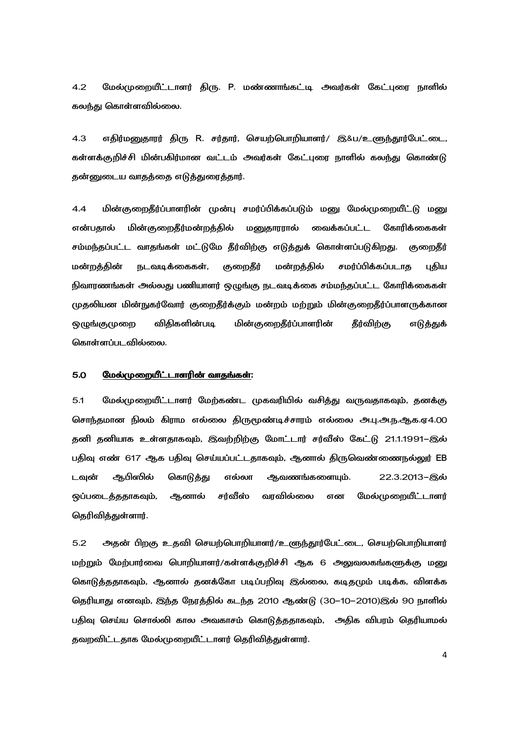$4.2$ மேல்முறையீட்டாளர் திரு. P. மண்ணாங்கட்டி அவர்கள் கேட்புரை நாளில் கலந்து கொள்ளவில்லை.

எதிர்மனுதாரர் திரு R. சர்தார், செயற்பொறியாளர்/ இ&ப/உளுந்தூர்பேட்டை,  $4.3$ கள்ளக்குறிச்சி மின்பகிர்மான வட்டம் அவர்கள் கேட்புரை நாளில் கலந்து கொண்டு தன்னுடைய வாதத்தை எடுத்துரைத்தார்.

 $4.4$ மின்குறைதீர்ப்பாளரின் முன்பு சமர்ப்பிக்கப்படும் மனு மேல்முறையீட்டு மனு என்பதால் மின்குறைதீர்மன்றத்தில் மனுதாரரால் வைக்கப்பட்ட கோரிக்கைகள் சம்மந்தப்பட்ட வாதங்கள் மட்டுமே தீர்விற்கு எடுத்துக் கொள்ளப்படுகிறது. குறைகீர் மன்றத்தின் நடவடிக்கைகள், குறைதீர் மன்றத்தில் சமர்ப்பிக்கப்படாத புதிய நிவாரணங்கள் அல்லது பணியாளர் ஒழுங்கு நடவடிக்கை சம்மந்தப்பட்ட கோரிக்கைகள் முதலியன மின்நுகர்வோர் குறைதீர்க்கும் மன்றம் மற்றும் மின்குறைதீர்ப்பாளருக்கான விகிகளின்படி மின்குறைதீர்ப்பாளரின் ஒழுங்குமுறை தீர்விற்கு எடுத்துக் கொள்ளப்படவில்லை.

#### 5.0 மேல்முறையீட்டாளரின் வாதங்கள்:

 $5.1$ மேல்முறையீட்டாளர் மேற்கண்ட முகவரியில் வசித்து வருவதாகவும், தனக்கு சொந்தமான நிலம் கிராம எல்லை திருமூண்டிச்சாரம் எல்லை அ.பு.அ.ந.ஆக.ஏ4.00 தனி தனியாக உள்ளதாகவும், இவற்றிற்கு மோட்டார் சர்வீஸ் கேட்டு 21.1.1991–இல் பதிவு எண் 617 ஆக பதிவு செய்யப்பட்டதாகவும், ஆனால் திருவெண்ணைநல்லுர் EB ஆபிஸில் டவுன் கொடுத்து எல்லா ஆவணங்களையும். 22.3.2013-இல் சர்வீஸ் ஒப்படைத்ததாகவும், ஆனால் வரவில்லை என மேல்முறையீட்டாளர் தெரிவித்துள்ளார்.

 $5.2$ அதன் பிறகு உதவி செயற்பொறியாளர்/உளுந்தூர்பேட்டை, செயற்பொறியாளர் மற்றும் மேற்பார்வை பொறியாளர்/கள்ளக்குறிச்சி ஆக 6 அலுவலகங்களுக்கு மனு கொடுத்ததாகவும், ஆனால் தனக்கோ படிப்பறிவு இல்லை, கடிதமும் படிக்க, விளக்க தெரியாது எனவும், இந்த நேரத்தில் கடந்த 2010 ஆண்டு (30–10–2010)இல் 90 நாளில் பதிவு செய்ய சொல்லி கால அவகாசம் கொடுத்ததாகவும், அதிக விபரம் தெரியாமல் தவறவிட்டதாக மேல்முறையீட்டாளர் தெரிவித்துள்ளார்.

 $\overline{4}$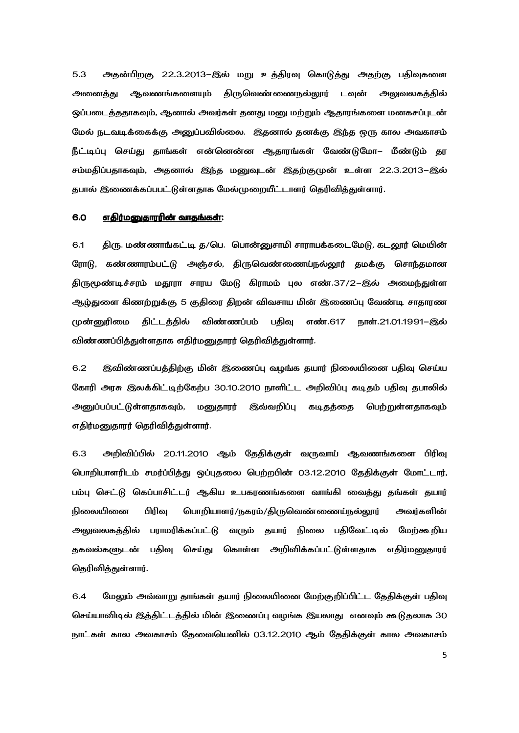5.3 அதன்பிறகு 22.3.2013–இல் மறு உத்திரவு கொடுத்து அதற்கு பதிவுகளை அனைத்து ஆவணங்களையும் திருவெண்ணைநல்லூர் டவுன் அலுவலகத்தில் ஒப்படைத்ததாகவும், ஆனால் அவர்கள் தனது மனு மற்றும் ஆதாரங்களை மனகசப்புடன் மேல் நடவடிக்கைக்கு அனுப்பவில்லை. இதனால் தனக்கு இந்த ஒரு கால அவகாசம் நீட்டிப்பு செய்து தாங்கள் என்னென்ன ஆதாரங்கள் வேண்டுமோ– மீண்டும் தர சம்மதிப்பதாகவும், அதனால் இந்த மனுவுடன் இதற்குமுன் உள்ள 22.3.2013–இல் தபால் இணைக்கப்பபட்டுள்ளதாக மேல்முறையீட்டாளர் தெரிவித்துள்ளார்.

### 6.0 <u>எதிர்மனுதாரின் வாதங்கள்</u>:

6.1 திரு. மண்ணாங்கட்டி த/பெ. பொன்னுசாமி சாராயக்கடைமேடு, கடலூர் மெயின் ரோடு, கண்ணாரம்பட்டு அஞ்சல், திருவெண்ணைய்நல்லூர் தமக்கு சொந்தமான திருமூண்டிச்சரம் மதூரா சாரய மேடு கிராமம் புல எண்.37/2–இல் அமைந்துள்ள ஆழ்துளை கிணற்றுக்கு 5 குதிரை திறன் விவசாய மின் இணைப்பு வேண்டி சாதாரண முன்னுரிமை திட்டத்தில் விண்ணப்பம் பதிவு எண்.617 நாள்.21.01.1991–இல் விண்ணப்பித்துள்ளதாக எதிர்மனுதாரர் தெரிவித்துள்ளார்.

6.2 இவிண்ணப்பத்திற்கு மின் இணைப்பு வழங்க தயார் நிலையினை பதிவு செய்ய கோரி அரசு இலக்கிட்டிற்கேற்ப 30.10.2010 நாளிட்ட அறிவிப்பு கடிதம் பதிவு தபாலில் <u>அனு</u>ப்பப்பட்டுள்ளதாகவும், மனுதாரர் இவ்வறிப்பு கடிதத்தை பெற்றுள்ளதாகவும் எதிர்மனுதாரர் தெரிவித்துள்ளார்.

6.3 அறிவிப்பில் 20.11.2010 ஆம் தேதிக்குள் வருவாய் ஆவணங்களை பிரிவு பொறியாளரிடம் சமர்ப்பித்து ஒப்புதலை பெற்றபின் 03.12.2010 தேதிக்குள் மோட்டார், பம்பு செட்டு கெப்பாசிட்டர் ஆகிய உபகரணங்களை வாங்கி வைத்து தங்கள் தயார் நிலையினை பிரிவு பொறியாளர்/நகரம்/திருவெண்ணைய்நல்லூர் அவர்களின் அலுவலகத்தில் பராமரிக்கப்பட்டு வரும் தயார் நிலை பதிவேட்டில் மேற்கூறிய தகவல்களுடன் பதிவு செய்து கொள்ள அறிவிக்கப்பட்டுள்ளதாக எதிர்மனுதாரர் கெரிவிக்குள்ளார்.

6.4 மேலும் அவ்வாறு தாங்கள் தயார் நிலையினை மேற்குறிப்பிட்ட கேதிக்குள் பதிவு செய்யாவிடில் இத்திட்டத்தில் மின் இணைப்பு வழங்க இயலாது எனவும் கூடுதலாக 30 நாட்கள் கால அவகாசம் கேவையெனில் 03.12.2010 ஆம் கேகிக்குள் கால அவகாசம்

5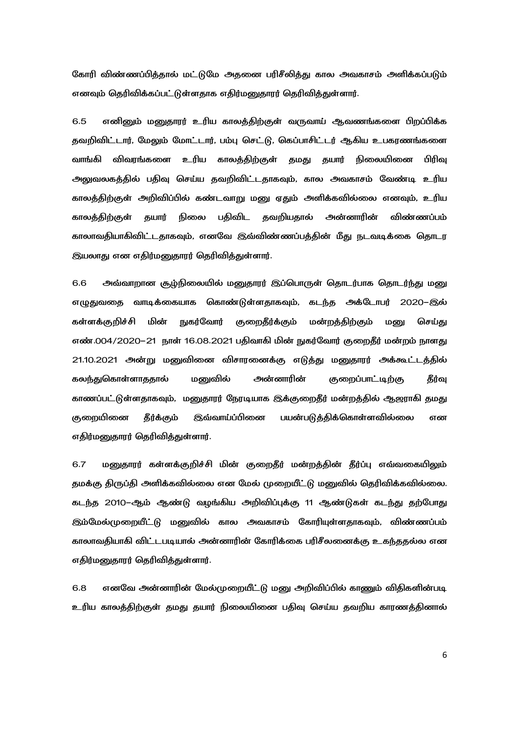கோரி விண்ணப்பித்தால் மட்டுமே அதனை பரிசீலித்து கால அவகாசம் அளிக்கப்படும் எனவும் தெரிவிக்கப்பட்டுள்ளதாக எதிர்மனுதாரர் தெரிவித்துள்ளார்.

6.5 எனினும் மனுதாரர் உரிய காலத்திற்குள் வருவாய் ஆவணங்களை பிறப்பிக்க தவறிவிட்டார், மேலும் மோட்டார், பம்பு செட்டு, கெப்பாசிட்டர் ஆகிய உபகரணங்களை வாங்கி விவரங்களை உரிய காலத்திற்குள் தமது தயார் நிலையினை பிரிவு அலுவலகத்தில் பதிவு செய்ய தவறிவிட்டதாகவும், கால அவகாசம் வேண்டி உரிய காலத்திற்குள் அறிவிப்பில் கண்டவாறு மனு ஏதும் அளிக்கவில்லை எனவும், உரிய பகிவிட கவறியகால் அன்னாரின் காலத்திற்குள் கயார் நிலை விண்ணப்பம் காலாவகியாகிவிட்டகாகவும், எனவே இவ்விண்ணப்பக்கின் மீகு நடவடிக்கை கொடர இயலாது என எதிர்மனுதாரர் தெரிவித்துள்ளார்.

6.6 அவ்வாறான சூழ்நிலையில் மனுதாரர் இப்பொருள் தொடர்பாக தொடர்ந்து மனு எழுதுவதை வாடிக்கையாக கொண்டுள்ளதாகவும், கடந்த அக்டோபர் 2020–இல் **நுகர்வோர்** குறைதீர்க்கும் மன்றத்திற்கும் கள்ளக்குறிச்சி மின் செய்கு மனு எண்.004/2020–21 நாள் 16.08.2021 பதிவாகி மின் நுகர்வோர் குறைதீர் மன்றம் நாளது 21.10.2021 அன்று மனுவினை விசாரனைக்கு எடுத்து மனுதாரர் அக்கூட்டத்தில் கலந்துகொள்ளாததால் மனுவில் அன்னாரின் குறைப்பாட்டிற்கு தீர்வு காணப்பட்டுள்ளதாகவும், மனுதாரர் நேரடியாக இக்குறைதீர் மன்றத்தில் ஆஜராகி தமது <u>குறையினை</u> தீர்க்கும் **இவ்வாய்ப்பினை** பயன்படுத்திக்கொள்ளவில்லை என எதிர்மனுதாரர் தெரிவித்துள்ளார்.

6.7 மனுதாரர் கள்ளக்குறிச்சி மின் குறைதீர் மன்றத்தின் தீர்ப்பு எவ்வகையிலும் தமக்கு திருப்தி அளிக்கவில்லை என மேல் முறையீட்டு மனுவில் தெரிவிக்கவில்லை. கடந்த 2010–ஆம் ஆண்டு வழங்கிய அறிவிப்புக்கு 11 ஆண்டுகள் கடந்து தற்போது இம்மேல்முறையீட்டு மனுவில் கால அவகாசம் கோரியுள்ளதாகவும், விண்ணப்பம் காலாவதியாகி விட்டபடியால் அன்னாரின் கோரிக்கை பரிசீலனைக்கு உகந்ததல்ல என எதிர்மனுதாரர் தெரிவித்துள்ளார்.

எனவே அன்னாரின் மேல்முறையீட்டு மனு அறிவிப்பில் காணும் விதிகளின்படி 6.8 உரிய காலத்திற்குள் தமது தயார் நிலையினை பதிவு செய்ய தவறிய காரணத்தினால்

6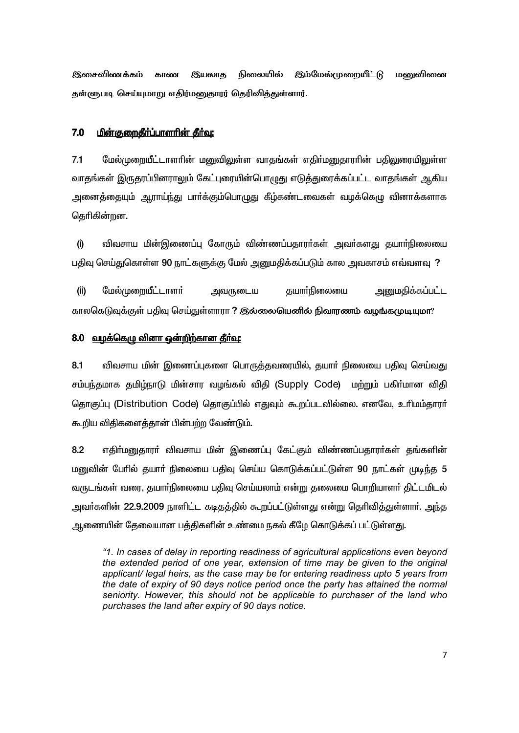நிலையில் இம்மேல்முறையீட்டு மனுவினை **இசைவிணக்கம்** காண இயலாத தள்ளுபடி செய்யுமாறு எதிர்மனுதாரர் தெரிவித்துள்ளார்.

### $7.0$ <u> மின்குறைதீர்ப்பாளரின் தீர்வு:</u>

 $71$ மேல்முறையீட்டாளரின் மனுவிலுள்ள வாகங்கள் எகிர்மனுகாாரின் பகிலுரையிலுள்ள வாதங்கள் இருதரப்பினராலும் கேட்புரையின்பொழுது எடுத்துரைக்கப்பட்ட வாதங்கள் ஆகிய அனைத்தையும் ஆராய்ந்து பார்க்கும்பொமுது கீம்கண்டவைகள் வழக்கெமு வினாக்களாக தெரிகின்றன.

விவசாய மின்இணைப்பு கோரும் விண்ணப்பதாரா்கள் அவா்களது தயாா்நிலையை  $(i)$ பதிவு செய்துகொள்ள 90 நாட்களுக்கு மேல் அனுமதிக்கப்படும் கால அவகாசம் எவ்வளவு ?

அனுமகிக்கப்பட்ட  $(i)$ மேல்முறையீட்டாளர் அவருடைய தயார்நிலையை காலகெடுவக்குள் பதிவு செய்துள்ளாரா ? இல்லையெனில் நிவாரணம் வமங்கமுடியுமா?

## 8.0 வழக்கெழு வினா ஒன்றிற்கான தீர்வு:

 $8.1$ விவசாய மின் இணைப்புகளை பொருத்தவரையில், தயாா் நிலையை பதிவு செய்வது சம்பந்தமாக தமிழ்நாடு மின்சார வழங்கல் விதி (Supply Code) மற்றும் பகிர்மான விதி தொகுப்பு (Distribution Code) தொகுப்பில் எதுவும் கூறப்படவில்லை. எனவே, உரிமம்தாரர் கூறிய விதிகளைத்தான் பின்பற்ற வேண்டும்.

8.2 எதிா்மனுதாரா் விவசாய மின் இணைப்பு கேட்கும் விண்ணப்பதாரா்கள் தங்களின் மனுவின் பேரில் தயார் நிலையை பதிவு செய்ய கொடுக்கப்பட்டுள்ள 90 நாட்கள் முடிந்த 5 வருடங்கள் வரை, தயார்நிலையை பதிவு செய்யலாம் என்று தலைமை பொறியாளர் திட்டமிடல் அவர்களின் 22.9.2009 நாளிட்ட கடிதத்தில் கூறப்பட்டுள்ளது என்று தெரிவித்துள்ளார். அந்த ஆணையின் தேவையான பத்திகளின் உண்மை நகல் கீழே கொடுக்கப் பட்டுள்ளது.

"1. In cases of delay in reporting readiness of agricultural applications even beyond the extended period of one year, extension of time may be given to the original applicant/ legal heirs, as the case may be for entering readiness upto 5 years from the date of expiry of 90 days notice period once the party has attained the normal seniority. However, this should not be applicable to purchaser of the land who purchases the land after expiry of 90 days notice.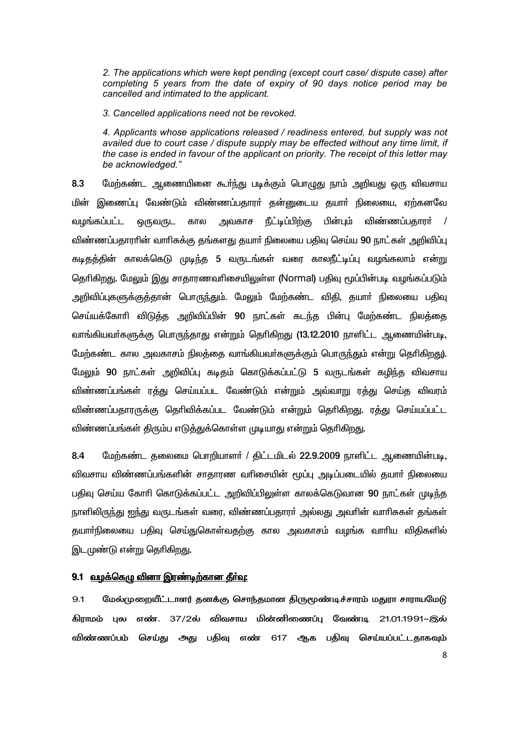2. The applications which were kept pending (except court case/ dispute case) after completing 5 years from the date of expiry of 90 days notice period may be cancelled and intimated to the applicant.

3. Cancelled applications need not be revoked.

4. Applicants whose applications released / readiness entered, but supply was not availed due to court case / dispute supply may be effected without any time limit, if the case is ended in favour of the applicant on priority. The receipt of this letter may be acknowledged."

மேற்கண்ட ஆணையினை கூா்ந்து படிக்கும் பொழுது நாம் அறிவது ஒரு விவசாய 8.3 மின் இணைப்பு வேண்டும் விண்ணப்பதாரா் தன்னுடைய தயாா் நிலையை, ஏற்கனவே நீட்டிப்பிற்கு பின்பும் விண்ணப்பதாரா் / வமங்கப்பட்ட ஒருவருட கால அவகாச விண்ணப்பதாரரின் வாரிசுக்கு தங்களது தயார் நிலையை பதிவு செய்ய 90 நாட்கள் அறிவிப்பு கடிதத்தின் காலக்கெடு முடிந்த 5 வருடங்கள் வரை காலநீட்டிப்பு வழங்கலாம் என்று தெரிகிறது. மேலும் இது சாதாரணவரிசையிலுள்ள (Normal) பதிவு மூப்பின்படி வழங்கப்படும் அறிவிப்புகளுக்குத்தான் பொருந்தும். மேலும் மேற்கண்ட விதி, தயாா் நிலையை பதிவு செய்யக்கோரி விடுத்த அறிவிப்பின் 90 நாட்கள் கடந்த பின்பு மேற்கண்ட நிலத்தை வாங்கியவா்களுக்கு பொருந்தாது என்றும் தொிகிறது (13.12.2010 நாளிட்ட ஆணையின்படி, மேற்கண்ட கால அவகாசம் நிலத்தை வாங்கியவா்களுக்கும் பொருந்தும் என்று தொிகிறது). மேலும் 90 நாட்கள் அறிவிப்பு கடிதம் கொடுக்கப்பட்டு 5 வருடங்கள் கழிந்த விவசாய விண்ணப்பங்கள் ரத்து செய்யப்பட வேண்டும் என்றும் அவ்வாறு ரத்து செய்த விவரம் விண்ணப்பதாரருக்கு தெரிவிக்கப்பட வேண்டும் என்றும் தெரிகிறது. ரத்து செய்யப்பட்ட விண்ணப்பங்கள் திரும்ப எடுத்துக்கொள்ள முடியாது என்றும் தெரிகிறது.

 $8.4$ மேற்கண்ட தலைமை பொறியாளர் / திட்டமிடல் 22.9.2009 நாளிட்ட ஆணையின்படி, விவசாய விண்ணப்பங்களின் சாதாரண வரிசையின் மூப்பு அடிப்படையில் தயாா் நிலையை பதிவு செய்ய கோரி கொடுக்கப்பட்ட அறிவிப்பிலுள்ள காலக்கெடுவான 90 நாட்கள் முடிந்த நாளிலிருந்து ஐந்து வருடங்கள் வரை, விண்ணப்பதாரர் அல்லது அவரின் வாரிசுகள் தங்கள் தயாா்நிலையை பதிவு செய்துகொள்வதற்கு கால அவகாசம் வழங்க வாாிய விதிகளில் இடமுண்டு என்று தெரிகிறது.

## 9.1 வழக்கெழு வினா இரண்டிற்கான தீர்வு:

மேல்முறையீட்டாளர் தனக்கு சொந்தமான திருமூண்டிச்சாரம் மதுரா சாராயமேடு 9.1 கிராமம் பல எண். 37/2ல் விவசாய மின்னிணைப்ப வேண்டி 21.01.1991–இல் விண்ணப்பம் செய்து அது பதிவு எண் 617 ஆக பதிவு செய்யப்பட்டதாகவும்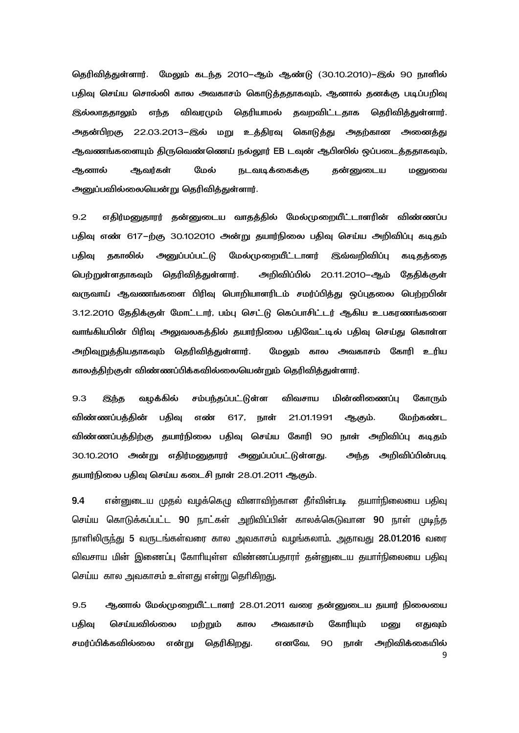தெரிவித்துள்ளார். மேலும் கடந்த 2010-ஆம் ஆண்டு (30.10.2010)-இல் 90 நாளில் பதிவு செய்ய சொல்லி கால அவகாசம் கொடுத்ததாகவும், ஆனால் தனக்கு படிப்பறிவு **இல்லாககாலம்** எந்த விவரமும் தெரியாமல் தவறவிட்டதாக தெரிவித்துள்ளார். அதன்பிறகு 22.03.2013–இல் மறு உத்திரவு கொடுத்து அதற்கான அணைத்து ஆவணங்களையும் திருவெண்ணெய் நல்லூர் EB டவுன் ஆபிஸில் ஒப்படைத்ததாகவும், ஆனால் மேல் ஆவர்கள் நடவடிக்கைக்கு தன்னுடைய மனுவை அனுப்பவில்லையென்று தெரிவித்துள்ளார்.

 $9.2$ எதிர்மனுதாரர் தன்னுடைய வாதத்தில் மேல்முறையீட்டாளரின் விண்ணப்ப பதிவு எண் 617–ற்கு 30.102010 அன்று தயார்நிலை பதிவு செய்ய அறிவிப்பு கடிதம் <u>அனுப்பப்பட்டு</u> மேல்முறையீட்டாளர் பகிவ ககாலில் இவ்வறிவிப்பு கடிதத்தை பெற்றுள்ளதாகவும் தெரிவித்துள்ளார். அறிவிப்பில் 20.11.2010–ஆம் தேதிக்குள் வருவாய் ஆவணங்களை பிரிவு பொறியாளரிடம் சமர்ப்பித்து ஒப்புதலை பெற்றபின் 3.12.2010 தேதிக்குள் மோட்டார், பம்பு செட்டு கெப்பாசிட்டர் ஆகிய உபகரணங்களை வாங்கியபின் பிரிவு அலுவலகத்தில் தயார்நிலை பதிவேட்டில் பதிவு செய்து கொள்ள மேலும் கால அவகாசம் கோரி உரிய அறிவுறுத்தியதாகவும் தெரிவித்துள்ளார். காலத்திற்குள் விண்ணப்பிக்கவில்லையென்றும் தெரிவித்துள்ளார்.

 $9.3$ வழக்கில் சம்பந்தப்பட்டுள்ள விவசாய மின்னிணைப்பு கோரும் இந்த விண்ணப்பத்தின் பதிவு எண் 617, நாள் 21.01.1991 ஆகும். மேற்கண்ட விண்ணப்பத்திற்கு தயார்நிலை பதிவு செய்ய கோரி 90 நாள் அறிவிப்பு கடிதம் 30.10.2010 அன்று எதிர்மனுதாரர் அனுப்பப்பட்டுள்ளது. அறிவிப்பின்படி அந்த தயார்நிலை பதிவு செய்ய கடைசி நாள் 28.01.2011 ஆகும்.

9.4 என்னுடைய முதல் வழக்கெமு வினாவிற்கான தீா்வின்படி குயாா்நிலையை பகிவு செய்ய கொடுக்கப்பட்ட 90 நாட்கள் அறிவிப்பின் காலக்கெடுவான 90 நாள் முடிந்த நாளிலிருந்து 5 வருடங்கள்வரை கால அவகாசம் வழங்கலாம். அதாவது 28.01.2016 வரை விவசாய மின் இணைப்பு கோரியுள்ள விண்ணப்பதாரா் தன்னுடைய தயாா்நிலையை பதிவு செய்ய கால அவகாசம் உள்ளது என்று தெரிகிறது.

 $9.5$ ஆனால் மேல்முறையீட்டாளர் 28.01.2011 வரை தன்னுடைய தயார் நிலையை கோரியம் பகிவ செய்யவில்லை அவகாசம் மற்றும் கால மனு எதுவம் சமர்ப்பிக்கவில்லை என்று தெரிகிறது. எனவே. 90 நாள் அறிவிக்கையில் 9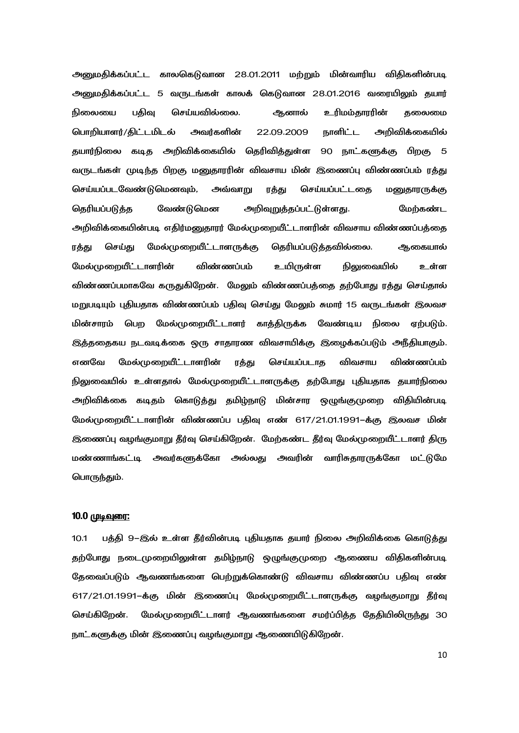அனுமதிக்கப்பட்ட காலகெடுவான 28.01.2011 மற்றும் மின்வாரிய விதிகளின்படி அனுமதிக்கப்பட்ட 5 வருடங்கள் காலக் கெடுவான 28.01.2016 வரையிலும் தயார் ஆனால் நிலையை பகிவ செய்யவில்லை. உரிமம்காாரின் கலைமை நாளிட்ட பொறியாளர்/திட்டமிடல் அவர்களின் 22.09.2009 அறிவிக்கையில் தயார்நிலை கடித அறிவிக்கையில் தெரிவித்துள்ள 90 நாட்களுக்கு பிறகு 5 வருடங்கள் முடிந்த பிறகு மனுதாரரின் விவசாய மின் இணைப்பு விண்ணப்பம் ரத்து செய்யப்படவேண்டுமெனவும், அவ்வாறு ரத்து செய்யப்பட்டதை மனுதாரருக்கு தெரியப்படுத்த வேண்டுமென அறிவுறுத்தப்பட்டுள்ளது. மேற்கண்ட அறிவிக்கையின்படி எதிர்மனுதாரர் மேல்முறையீட்டாளரின் விவசாய விண்ணப்பத்தை செய்து மேல்முறையீட்டாளருக்கு தெரியப்படுத்தவில்லை. ரத்து ஆகையால் மேல்முறையீட்டாளரின் விண்ணப்பம் உயிருள்ள நிலுவையில் உள்ள விண்ணப்பமாகவே கருதுகிறேன். மேலும் விண்ணப்பத்தை தற்போது ரத்து செய்தால் மறுபடியும் புதியதாக விண்ணப்பம் பதிவு செய்து மேலும் சுமார் 15 வருடங்கள் இலவச மின்சாரம் பெற மேல்முறையீட்டாளர் காத்திருக்க வேண்டிய நிலை ஏற்படும். இத்ததைகய நடவடிக்கை ஒரு சாதாரண விவசாயிக்கு இழைக்கப்படும் அநீதியாகும். எனவே மேல்முறையீட்டாளரின் ரத்து செய்யப்படாத விவசாய விண்ணப்பம் நிலுவையில் உள்ளதால் மேல்முறையீட்டாளருக்கு தற்போது புதியதாக தயார்நிலை அறிவிக்கை கடிதம் கொடுத்து தமிழ்நாடு மின்சார ஒழுங்குமுறை விதியின்படி மேல்முறையீட்டாளரின் விண்ணப்ப பதிவு எண் 617/21.01.1991–க்கு இலவச மின் இணைப்பு வழங்குமாறு தீர்வு செய்கிறேன். மேற்கண்ட தீர்வு மேல்முறையீட்டாளர் திரு மண்ணாங்கட்டி அவர்களுக்கோ அல்லது அவரின் வாரிசுதாரருக்கோ மட்டுமே பொருந்தும்.

### 10.0 <u>முடிவுரை:</u>

பத்தி 9–இல் உள்ள தீர்வின்படி புதியதாக தயார் நிலை அறிவிக்கை கொடுத்து  $10.1$ தற்போது நடைமுறையிலுள்ள தமிழ்நாடு ஒழுங்குமுறை ஆணைய விதிகளின்படி கேவைப்படும் ஆவணங்களை பெற்றுக்கொண்டு விவசாய விண்ணப்ப பகிவு எண் 617/21.01.1991–க்கு மின் இணைப்பு மேல்முறையீட்டாளருக்கு வழங்குமாறு தீர்வு செய்கிறேன். மேல்முறையீட்டாளர் ஆவணங்களை சமர்ப்பிக்க கேகியிலிருந்து 30 நாட்களுக்கு மின் இணைப்பு வழங்குமாறு ஆணையிடுகிறேன்.

10